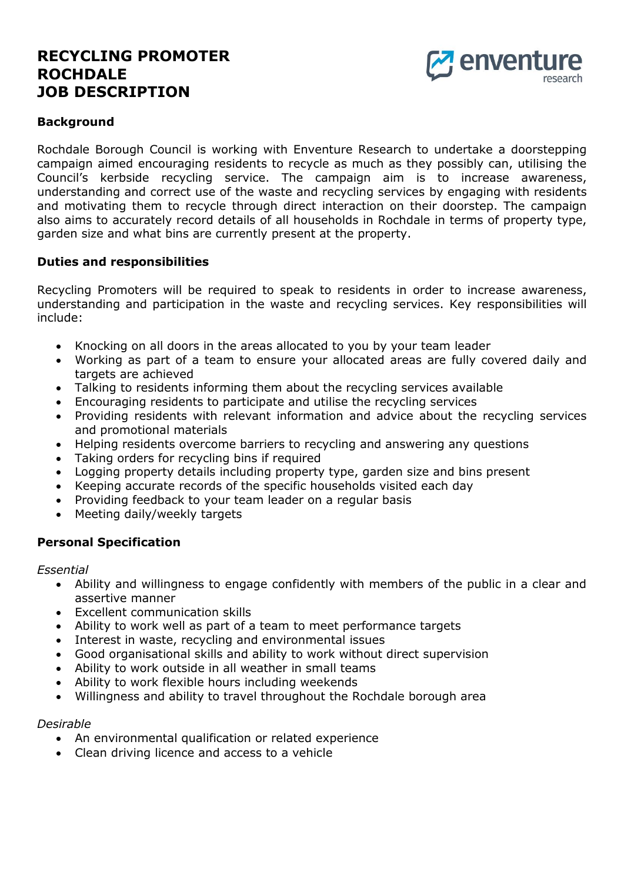# **RECYCLING PROMOTER ROCHDALE JOB DESCRIPTION**



### **Background**

Rochdale Borough Council is working with Enventure Research to undertake a doorstepping campaign aimed encouraging residents to recycle as much as they possibly can, utilising the Council's kerbside recycling service. The campaign aim is to increase awareness, understanding and correct use of the waste and recycling services by engaging with residents and motivating them to recycle through direct interaction on their doorstep. The campaign also aims to accurately record details of all households in Rochdale in terms of property type, garden size and what bins are currently present at the property.

#### **Duties and responsibilities**

Recycling Promoters will be required to speak to residents in order to increase awareness, understanding and participation in the waste and recycling services. Key responsibilities will include:

- Knocking on all doors in the areas allocated to you by your team leader
- Working as part of a team to ensure your allocated areas are fully covered daily and targets are achieved
- Talking to residents informing them about the recycling services available
- Encouraging residents to participate and utilise the recycling services
- Providing residents with relevant information and advice about the recycling services and promotional materials
- Helping residents overcome barriers to recycling and answering any questions
- Taking orders for recycling bins if required
- Logging property details including property type, garden size and bins present
- Keeping accurate records of the specific households visited each day
- Providing feedback to your team leader on a regular basis
- Meeting daily/weekly targets

#### **Personal Specification**

*Essential* 

- Ability and willingness to engage confidently with members of the public in a clear and assertive manner
- Excellent communication skills
- Ability to work well as part of a team to meet performance targets
- Interest in waste, recycling and environmental issues
- Good organisational skills and ability to work without direct supervision
- Ability to work outside in all weather in small teams
- Ability to work flexible hours including weekends
- Willingness and ability to travel throughout the Rochdale borough area

#### *Desirable*

- An environmental qualification or related experience
- Clean driving licence and access to a vehicle